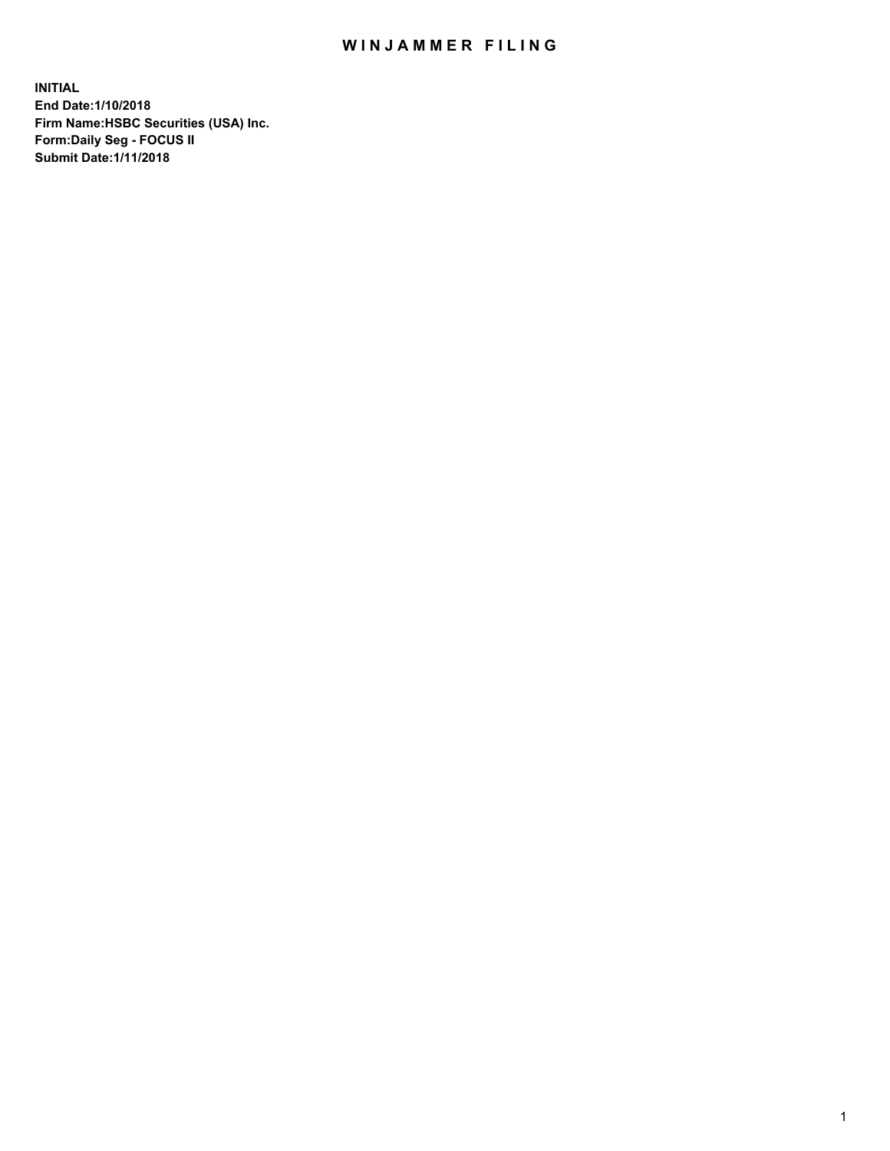## WIN JAMMER FILING

**INITIAL End Date:1/10/2018 Firm Name:HSBC Securities (USA) Inc. Form:Daily Seg - FOCUS II Submit Date:1/11/2018**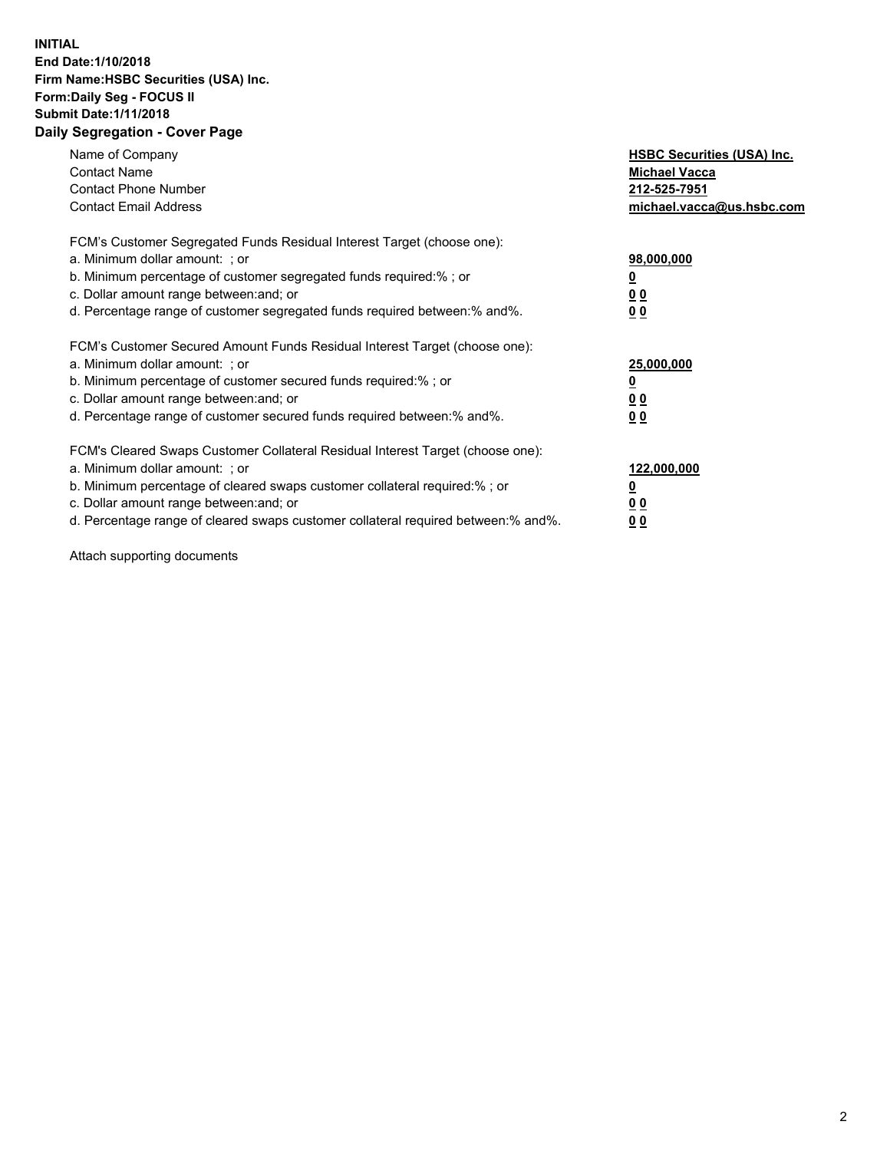## **INITIAL End Date:1/10/2018 Firm Name:HSBC Securities (USA) Inc. Form:Daily Seg - FOCUS II Submit Date:1/11/2018 Daily Segregation - Cover Page**

| Name of Company<br><b>Contact Name</b><br><b>Contact Phone Number</b><br><b>Contact Email Address</b>                                                                                                                                                                                                                         | <b>HSBC Securities (USA) Inc.</b><br><b>Michael Vacca</b><br>212-525-7951<br>michael.vacca@us.hsbc.com |
|-------------------------------------------------------------------------------------------------------------------------------------------------------------------------------------------------------------------------------------------------------------------------------------------------------------------------------|--------------------------------------------------------------------------------------------------------|
| FCM's Customer Segregated Funds Residual Interest Target (choose one):<br>a. Minimum dollar amount: ; or<br>b. Minimum percentage of customer segregated funds required:%; or<br>c. Dollar amount range between: and; or<br>d. Percentage range of customer segregated funds required between: % and %.                       | 98,000,000<br><u>0</u><br><u>00</u><br><u>00</u>                                                       |
| FCM's Customer Secured Amount Funds Residual Interest Target (choose one):<br>a. Minimum dollar amount: ; or<br>b. Minimum percentage of customer secured funds required:%; or<br>c. Dollar amount range between: and; or<br>d. Percentage range of customer secured funds required between: % and %.                         | 25,000,000<br><u>0</u><br><u>00</u><br>00                                                              |
| FCM's Cleared Swaps Customer Collateral Residual Interest Target (choose one):<br>a. Minimum dollar amount: ; or<br>b. Minimum percentage of cleared swaps customer collateral required:%; or<br>c. Dollar amount range between: and; or<br>d. Percentage range of cleared swaps customer collateral required between:% and%. | 122,000,000<br><u>0</u><br><u>00</u><br><u>00</u>                                                      |

Attach supporting documents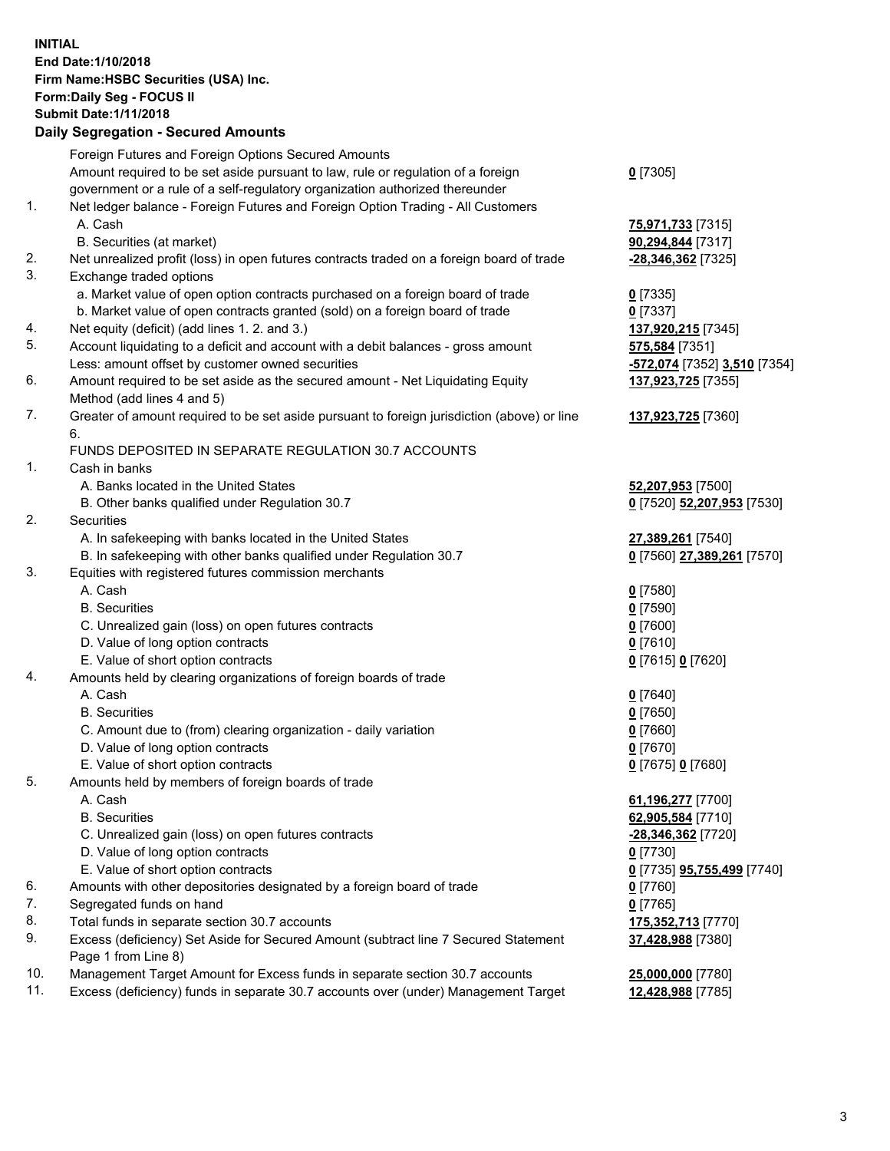**INITIAL End Date:1/10/2018 Firm Name:HSBC Securities (USA) Inc. Form:Daily Seg - FOCUS II Submit Date:1/11/2018 Daily Segregation - Secured Amounts** Foreign Futures and Foreign Options Secured Amounts Amount required to be set aside pursuant to law, rule or regulation of a foreign government or a rule of a self-regulatory organization authorized thereunder 1. Net ledger balance - Foreign Futures and Foreign Option Trading - All Customers A. Cash **75,971,733** [7315] B. Securities (at market) **90,294,844** [7317] 2. Net unrealized profit (loss) in open futures contracts traded on a foreign board of trade **-28,346,362** [7325] 3. Exchange traded options a. Market value of open option contracts purchased on a foreign board of trade **0** [7335] b. Market value of open contracts granted (sold) on a foreign board of trade **0** [7337] 4. Net equity (deficit) (add lines 1. 2. and 3.) **137,920,215** [7345] 5. Account liquidating to a deficit and account with a debit balances - gross amount **575,584** [7351] Less: amount offset by customer owned securities **-572,074** [7352] **3,510** [7354] 6. Amount required to be set aside as the secured amount - Net Liquidating Equity Method (add lines 4 and 5) 7. Greater of amount required to be set aside pursuant to foreign jurisdiction (above) or line 6.

## FUNDS DEPOSITED IN SEPARATE REGULATION 30.7 ACCOUNTS

1. Cash in banks

- A. Banks located in the United States **52,207,953** [7500]
- B. Other banks qualified under Regulation 30.7 **0** [7520] **52,207,953** [7530]
- 2. Securities
	- A. In safekeeping with banks located in the United States **27,389,261** [7540]
	- B. In safekeeping with other banks qualified under Regulation 30.7 **0** [7560] **27,389,261** [7570]
- 3. Equities with registered futures commission merchants
	-
	-
	- C. Unrealized gain (loss) on open futures contracts **0** [7600]
	- D. Value of long option contracts **0** [7610]
	- E. Value of short option contracts **0** [7615] **0** [7620]
- 4. Amounts held by clearing organizations of foreign boards of trade
	-
	-
	- C. Amount due to (from) clearing organization daily variation **0** [7660]
	- D. Value of long option contracts **0** [7670]
	- E. Value of short option contracts **0** [7675] **0** [7680]
- 5. Amounts held by members of foreign boards of trade
	-
	-
	- C. Unrealized gain (loss) on open futures contracts **-28,346,362** [7720]
	- D. Value of long option contracts **0** [7730]
	- E. Value of short option contracts **0** [7735] **95,755,499** [7740]
- 6. Amounts with other depositories designated by a foreign board of trade **0** [7760]
- 7. Segregated funds on hand **0** [7765]
- 8. Total funds in separate section 30.7 accounts **175,352,713** [7770]
- 9. Excess (deficiency) Set Aside for Secured Amount (subtract line 7 Secured Statement Page 1 from Line 8)
- 10. Management Target Amount for Excess funds in separate section 30.7 accounts **25,000,000** [7780]
- 11. Excess (deficiency) funds in separate 30.7 accounts over (under) Management Target **12,428,988** [7785]

**0** [7305]

- 
- **137,923,725** [7355]
- **137,923,725** [7360]
- 
- 
- A. Cash **0** [7580] B. Securities **0** [7590]
- A. Cash **0** [7640] B. Securities **0** [7650]
	-
- A. Cash **61,196,277** [7700] B. Securities **62,905,584** [7710] **37,428,988** [7380]
	-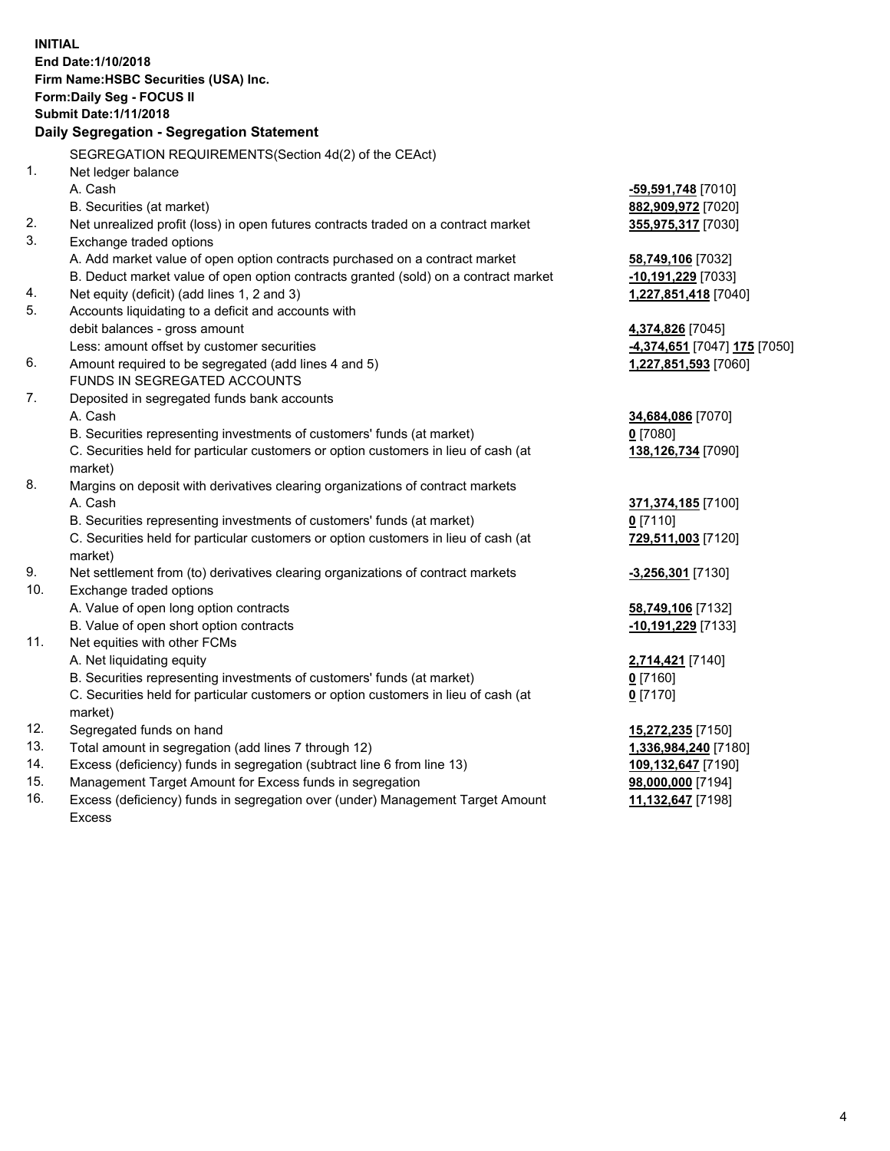| <b>INITIAL</b> | End Date: 1/10/2018<br>Firm Name: HSBC Securities (USA) Inc.<br>Form: Daily Seg - FOCUS II<br><b>Submit Date: 1/11/2018</b><br>Daily Segregation - Segregation Statement |                              |
|----------------|--------------------------------------------------------------------------------------------------------------------------------------------------------------------------|------------------------------|
|                | SEGREGATION REQUIREMENTS(Section 4d(2) of the CEAct)                                                                                                                     |                              |
| 1.             | Net ledger balance                                                                                                                                                       |                              |
|                | A. Cash                                                                                                                                                                  | -59,591,748 [7010]           |
|                | B. Securities (at market)                                                                                                                                                | 882,909,972 [7020]           |
| 2.             | Net unrealized profit (loss) in open futures contracts traded on a contract market                                                                                       | 355,975,317 [7030]           |
| 3.             | Exchange traded options                                                                                                                                                  |                              |
|                | A. Add market value of open option contracts purchased on a contract market                                                                                              | 58,749,106 [7032]            |
|                | B. Deduct market value of open option contracts granted (sold) on a contract market                                                                                      | -10,191,229 [7033]           |
| 4.             | Net equity (deficit) (add lines 1, 2 and 3)                                                                                                                              | 1,227,851,418 [7040]         |
| 5.             | Accounts liquidating to a deficit and accounts with                                                                                                                      |                              |
|                | debit balances - gross amount                                                                                                                                            | 4,374,826 [7045]             |
|                | Less: amount offset by customer securities                                                                                                                               | -4,374,651 [7047] 175 [7050] |
| 6.             | Amount required to be segregated (add lines 4 and 5)                                                                                                                     | 1,227,851,593 [7060]         |
|                | FUNDS IN SEGREGATED ACCOUNTS                                                                                                                                             |                              |
| 7.             | Deposited in segregated funds bank accounts                                                                                                                              |                              |
|                | A. Cash                                                                                                                                                                  | 34,684,086 [7070]            |
|                | B. Securities representing investments of customers' funds (at market)                                                                                                   | $0$ [7080]                   |
|                | C. Securities held for particular customers or option customers in lieu of cash (at<br>market)                                                                           | 138,126,734 [7090]           |
| 8.             | Margins on deposit with derivatives clearing organizations of contract markets                                                                                           |                              |
|                | A. Cash                                                                                                                                                                  | 371,374,185 [7100]           |
|                | B. Securities representing investments of customers' funds (at market)                                                                                                   | $0$ [7110]                   |
|                | C. Securities held for particular customers or option customers in lieu of cash (at<br>market)                                                                           | 729,511,003 [7120]           |
| 9.             | Net settlement from (to) derivatives clearing organizations of contract markets                                                                                          | $-3,256,301$ [7130]          |
| 10.            | Exchange traded options                                                                                                                                                  |                              |
|                | A. Value of open long option contracts                                                                                                                                   | 58,749,106 [7132]            |
|                | B. Value of open short option contracts                                                                                                                                  | -10,191,229 [7133]           |
| 11.            | Net equities with other FCMs                                                                                                                                             |                              |
|                | A. Net liquidating equity                                                                                                                                                | 2,714,421 [7140]             |
|                | B. Securities representing investments of customers' funds (at market)                                                                                                   | $0$ [7160]                   |
|                | C. Securities held for particular customers or option customers in lieu of cash (at                                                                                      | $0$ [7170]                   |
|                | market)                                                                                                                                                                  |                              |
| 12.            | Segregated funds on hand                                                                                                                                                 | 15,272,235 [7150]            |
| 13.            | Total amount in segregation (add lines 7 through 12)                                                                                                                     | 1,336,984,240 [7180]         |
| 14.            | Excess (deficiency) funds in segregation (subtract line 6 from line 13)                                                                                                  | 109,132,647 [7190]           |
| 15.            | Management Target Amount for Excess funds in segregation                                                                                                                 | 98,000,000 [7194]            |

16. Excess (deficiency) funds in segregation over (under) Management Target Amount Excess

**<u>98,000,000</u> [7194]**<br>11,132,647 [7198]